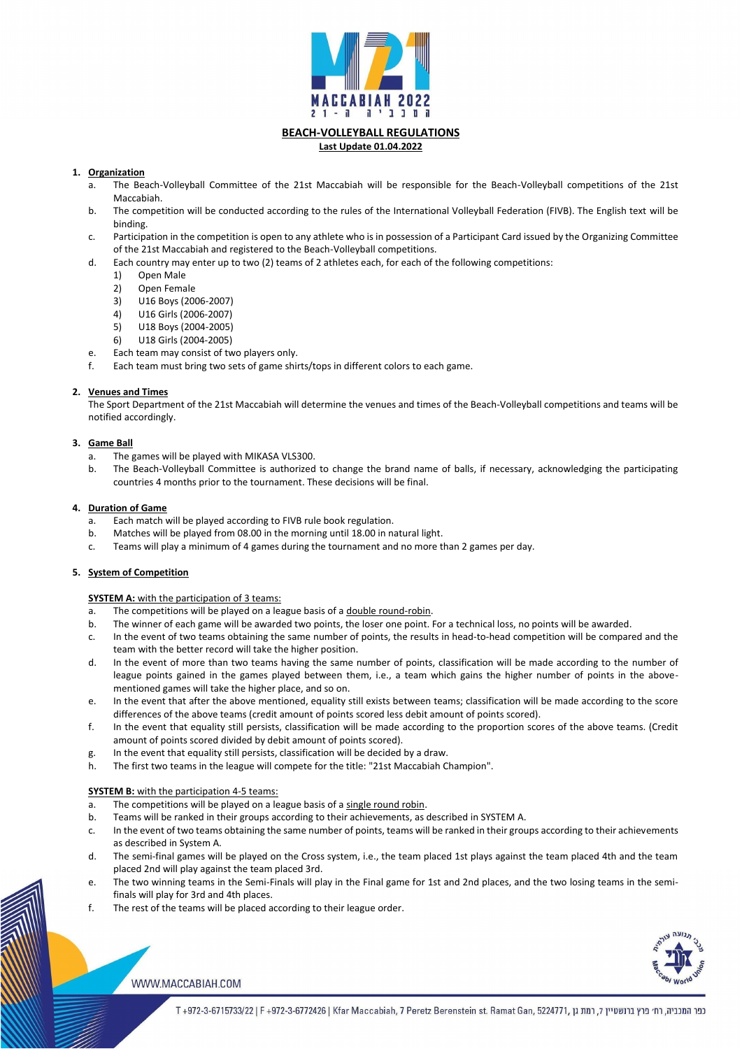

# **BEACH-VOLLEYBALL REGULATIONS**

#### **Last Update 01.04.2022**

## **1. Organization**

- a. The Beach-Volleyball Committee of the 21st Maccabiah will be responsible for the Beach-Volleyball competitions of the 21st Maccabiah.
- b. The competition will be conducted according to the rules of the International Volleyball Federation (FIVB). The English text will be binding.
- c. Participation in the competition is open to any athlete who is in possession of a Participant Card issued by the Organizing Committee of the 21st Maccabiah and registered to the Beach-Volleyball competitions.
- d. Each country may enter up to two (2) teams of 2 athletes each, for each of the following competitions:
	- 1) Open Male
	- 2) Open Female
	- 3) U16 Boys (2006-2007)
	- 4) U16 Girls (2006-2007)
	- 5) U18 Boys (2004-2005)
	- 6) U18 Girls (2004-2005)
- e. Each team may consist of two players only.
- f. Each team must bring two sets of game shirts/tops in different colors to each game.

## **2. Venues and Times**

The Sport Department of the 21st Maccabiah will determine the venues and times of the Beach-Volleyball competitions and teams will be notified accordingly.

## **3. Game Ball**

- a. The games will be played with MIKASA VLS300.
- b. The Beach-Volleyball Committee is authorized to change the brand name of balls, if necessary, acknowledging the participating countries 4 months prior to the tournament. These decisions will be final.

## **4. Duration of Game**

- a. The competitions will be played on a league basis of a double round-robin.
- b. The winner of each game will be awarded two points, the loser one point. For a technical loss, no points will be awarded.
- c. In the event of two teams obtaining the same number of points, the results in head-to-head competition will be compared and the team with the better record will take the higher position.
- d. In the event of more than two teams having the same number of points, classification will be made according to the number of league points gained in the games played between them, i.e., a team which gains the higher number of points in the abovementioned games will take the higher place, and so on.
- e. In the event that after the above mentioned, equality still exists between teams; classification will be made according to the score differences of the above teams (credit amount of points scored less debit amount of points scored).
- f. In the event that equality still persists, classification will be made according to the proportion scores of the above teams. (Credit amount of points scored divided by debit amount of points scored).
- g. In the event that equality still persists, classification will be decided by a draw.
- h. The first two teams in the league will compete for the title: "21st Maccabiah Champion".
- a. Each match will be played according to FIVB rule book regulation.
- b. Matches will be played from 08.00 in the morning until 18.00 in natural light.
- c. Teams will play a minimum of 4 games during the tournament and no more than 2 games per day.

## **5. System of Competition**

## **SYSTEM A:** with the participation of 3 teams:

- a. The competitions will be played on a league basis of a single round robin.
- b. Teams will be ranked in their groups according to their achievements, as described in SYSTEM A.
- c. In the event of two teams obtaining the same number of points, teams will be ranked in their groups according to their achievements as described in System A.
- d. The semi-final games will be played on the Cross system, i.e., the team placed 1st plays against the team placed 4th and the team placed 2nd will play against the team placed 3rd.
- e. The two winning teams in the Semi-Finals will play in the Final game for 1st and 2nd places, and the two losing teams in the semifinals will play for 3rd and 4th places.
- f. The rest of the teams will be placed according to their league order.



#### WWW.MACCABIAH.COM

כפר המכביה, רח׳ פרץ ברנשטיין 7, רמת גן ,6724771, T+972-3-6715733/22 | F+972-3-6772426 | Kfar Maccabiah, 7 Peretz Berenstein st. Ramat Gan, 5224771

**SYSTEM B:** with the participation 4-5 teams: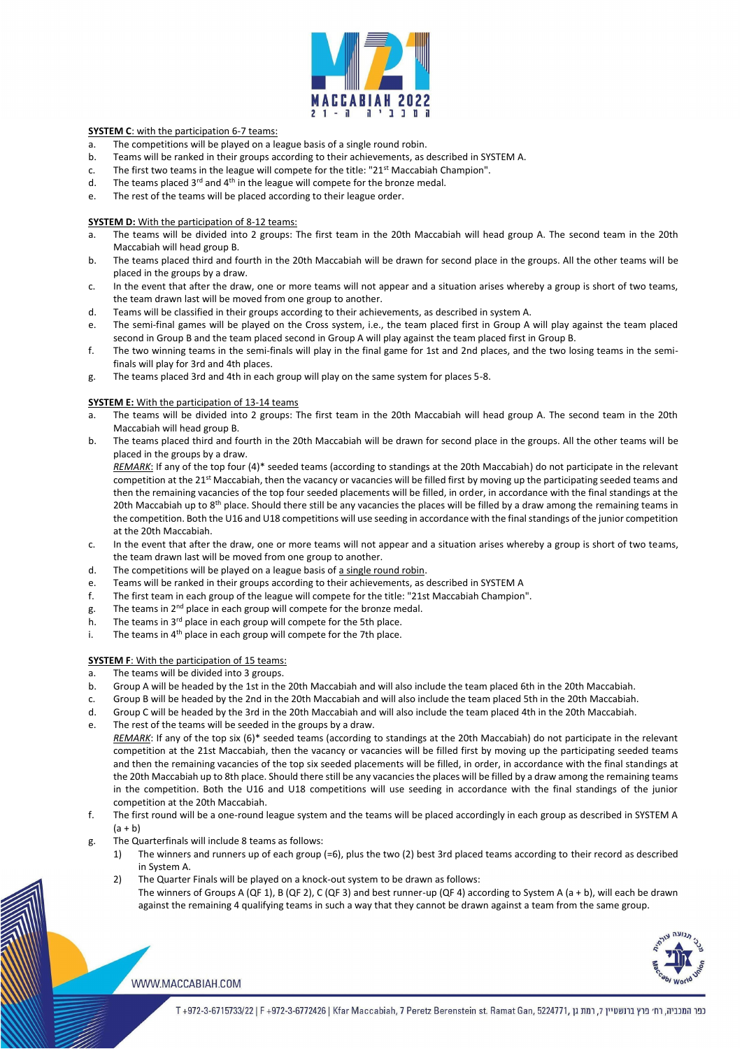

#### **SYSTEM C**: with the participation 6-7 teams:

- a. The competitions will be played on a league basis of a single round robin.
- b. Teams will be ranked in their groups according to their achievements, as described in SYSTEM A.
- c. The first two teams in the league will compete for the title: "21 $<sup>st</sup>$  Maccabiah Champion".</sup>
- d. The teams placed  $3^{rd}$  and  $4^{th}$  in the league will compete for the bronze medal.
- e. The rest of the teams will be placed according to their league order.

#### **SYSTEM D:** With the participation of 8-12 teams:

- a. The teams will be divided into 2 groups: The first team in the 20th Maccabiah will head group A. The second team in the 20th Maccabiah will head group B.
- b. The teams placed third and fourth in the 20th Maccabiah will be drawn for second place in the groups. All the other teams will be placed in the groups by a draw.
- c. In the event that after the draw, one or more teams will not appear and a situation arises whereby a group is short of two teams, the team drawn last will be moved from one group to another.
- d. Teams will be classified in their groups according to their achievements, as described in system A.
- e. The semi-final games will be played on the Cross system, i.e., the team placed first in Group A will play against the team placed second in Group B and the team placed second in Group A will play against the team placed first in Group B.
- f. The two winning teams in the semi-finals will play in the final game for 1st and 2nd places, and the two losing teams in the semifinals will play for 3rd and 4th places.
- g. The teams placed 3rd and 4th in each group will play on the same system for places 5-8.

- c. In the event that after the draw, one or more teams will not appear and a situation arises whereby a group is short of two teams, the team drawn last will be moved from one group to another.
- d. The competitions will be played on a league basis of a single round robin.
- e. Teams will be ranked in their groups according to their achievements, as described in SYSTEM A
- f. The first team in each group of the league will compete for the title: "21st Maccabiah Champion".
- g. The teams in  $2^{nd}$  place in each group will compete for the bronze medal.
- h. The teams in  $3<sup>rd</sup>$  place in each group will compete for the 5th place.
- i. The teams in  $4<sup>th</sup>$  place in each group will compete for the 7th place.

#### **SYSTEM F:** With the participation of 15 teams:

### **SYSTEM E:** With the participation of 13-14 teams

- a. The teams will be divided into 2 groups: The first team in the 20th Maccabiah will head group A. The second team in the 20th Maccabiah will head group B.
- b. The teams placed third and fourth in the 20th Maccabiah will be drawn for second place in the groups. All the other teams will be placed in the groups by a draw.

*REMARK*: If any of the top six (6)\* seeded teams (according to standings at the 20th Maccabiah) do not participate in the relevant competition at the 21st Maccabiah, then the vacancy or vacancies will be filled first by moving up the participating seeded teams and then the remaining vacancies of the top six seeded placements will be filled, in order, in accordance with the final standings at the 20th Maccabiah up to 8th place. Should there still be any vacancies the places will be filled by a draw among the remaining teams in the competition. Both the U16 and U18 competitions will use seeding in accordance with the final standings of the junior

*REMARK*: If any of the top four (4)\* seeded teams (according to standings at the 20th Maccabiah) do not participate in the relevant competition at the 21<sup>st</sup> Maccabiah, then the vacancy or vacancies will be filled first by moving up the participating seeded teams and then the remaining vacancies of the top four seeded placements will be filled, in order, in accordance with the final standings at the 20th Maccabiah up to 8<sup>th</sup> place. Should there still be any vacancies the places will be filled by a draw among the remaining teams in the competition. Both the U16 and U18 competitions will use seeding in accordance with the final standings of the junior competition at the 20th Maccabiah.

The winners of Groups A (QF 1), B (QF 2), C (QF 3) and best runner-up (QF 4) according to System A (a + b), will each be drawn against the remaining 4 qualifying teams in such a way that they cannot be drawn against a team from the same group.



#### WWW.MACCABIAH.COM

כפר המכביה, רח׳ פרץ ברנשטיין 7, רמת גן ,972-3-6715733/22 | F +972-3-6772426 | Kfar Maccabiah, 7 Peretz Berenstein st. Ramat Gan, 5224771

- a. The teams will be divided into 3 groups.
- b. Group A will be headed by the 1st in the 20th Maccabiah and will also include the team placed 6th in the 20th Maccabiah.
- c. Group B will be headed by the 2nd in the 20th Maccabiah and will also include the team placed 5th in the 20th Maccabiah.
- d. Group C will be headed by the 3rd in the 20th Maccabiah and will also include the team placed 4th in the 20th Maccabiah.
- e. The rest of the teams will be seeded in the groups by a draw.

- competition at the 20th Maccabiah.
- f. The first round will be a one-round league system and the teams will be placed accordingly in each group as described in SYSTEM A  $(a + b)$
- g. The Quarterfinals will include 8 teams as follows:
	- 1) The winners and runners up of each group (=6), plus the two (2) best 3rd placed teams according to their record as described in System A.
	- 2) The Quarter Finals will be played on a knock-out system to be drawn as follows: